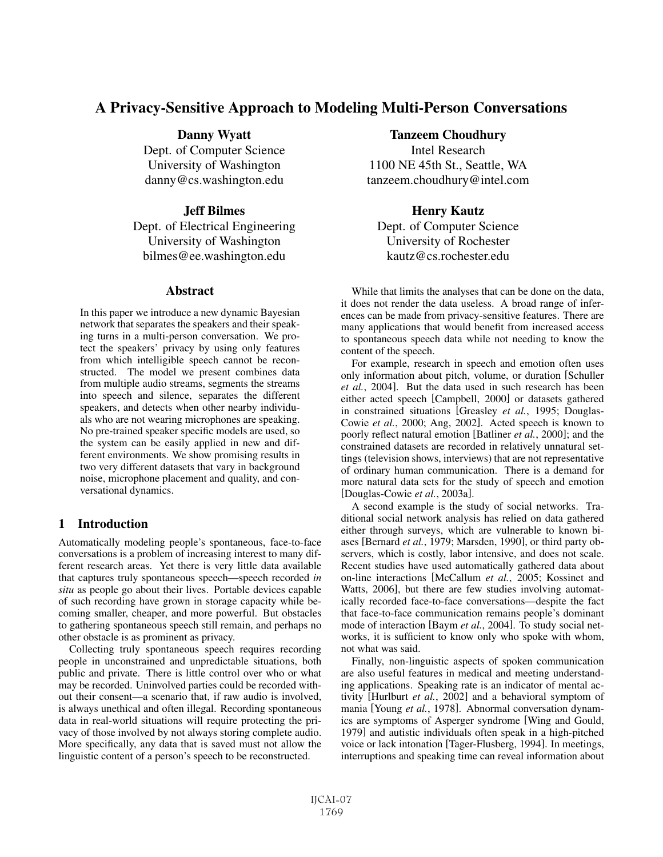# A Privacy-Sensitive Approach to Modeling Multi-Person Conversations

Danny Wyatt Dept. of Computer Science University of Washington danny@cs.washington.edu

## Jeff Bilmes

Dept. of Electrical Engineering University of Washington bilmes@ee.washington.edu

### Abstract

In this paper we introduce a new dynamic Bayesian network that separates the speakers and their speaking turns in a multi-person conversation. We protect the speakers' privacy by using only features from which intelligible speech cannot be reconstructed. The model we present combines data from multiple audio streams, segments the streams into speech and silence, separates the different speakers, and detects when other nearby individuals who are not wearing microphones are speaking. No pre-trained speaker specific models are used, so the system can be easily applied in new and different environments. We show promising results in two very different datasets that vary in background noise, microphone placement and quality, and conversational dynamics.

## 1 Introduction

Automatically modeling people's spontaneous, face-to-face conversations is a problem of increasing interest to many different research areas. Yet there is very little data available that captures truly spontaneous speech—speech recorded *in situ* as people go about their lives. Portable devices capable of such recording have grown in storage capacity while becoming smaller, cheaper, and more powerful. But obstacles to gathering spontaneous speech still remain, and perhaps no other obstacle is as prominent as privacy.

Collecting truly spontaneous speech requires recording people in unconstrained and unpredictable situations, both public and private. There is little control over who or what may be recorded. Uninvolved parties could be recorded without their consent—a scenario that, if raw audio is involved, is always unethical and often illegal. Recording spontaneous data in real-world situations will require protecting the privacy of those involved by not always storing complete audio. More specifically, any data that is saved must not allow the linguistic content of a person's speech to be reconstructed.

## Tanzeem Choudhury

Intel Research 1100 NE 45th St., Seattle, WA tanzeem.choudhury@intel.com

# Henry Kautz

Dept. of Computer Science University of Rochester kautz@cs.rochester.edu

While that limits the analyses that can be done on the data, it does not render the data useless. A broad range of inferences can be made from privacy-sensitive features. There are many applications that would benefit from increased access to spontaneous speech data while not needing to know the content of the speech.

For example, research in speech and emotion often uses only information about pitch, volume, or duration [Schuller *et al.*, 2004]. But the data used in such research has been either acted speech [Campbell, 2000] or datasets gathered in constrained situations [Greasley *et al.*, 1995; Douglas-Cowie *et al.*, 2000; Ang, 2002]. Acted speech is known to poorly reflect natural emotion [Batliner *et al.*, 2000]; and the constrained datasets are recorded in relatively unnatural settings (television shows, interviews) that are not representative of ordinary human communication. There is a demand for more natural data sets for the study of speech and emotion [Douglas-Cowie *et al.*, 2003a].

A second example is the study of social networks. Traditional social network analysis has relied on data gathered either through surveys, which are vulnerable to known biases [Bernard *et al.*, 1979; Marsden, 1990], or third party observers, which is costly, labor intensive, and does not scale. Recent studies have used automatically gathered data about on-line interactions [McCallum *et al.*, 2005; Kossinet and Watts, 2006], but there are few studies involving automatically recorded face-to-face conversations—despite the fact that face-to-face communication remains people's dominant mode of interaction [Baym *et al.*, 2004]. To study social networks, it is sufficient to know only who spoke with whom, not what was said.

Finally, non-linguistic aspects of spoken communication are also useful features in medical and meeting understanding applications. Speaking rate is an indicator of mental activity [Hurlburt *et al.*, 2002] and a behavioral symptom of mania [Young *et al.*, 1978]. Abnormal conversation dynamics are symptoms of Asperger syndrome [Wing and Gould, 1979] and autistic individuals often speak in a high-pitched voice or lack intonation [Tager-Flusberg, 1994]. In meetings, interruptions and speaking time can reveal information about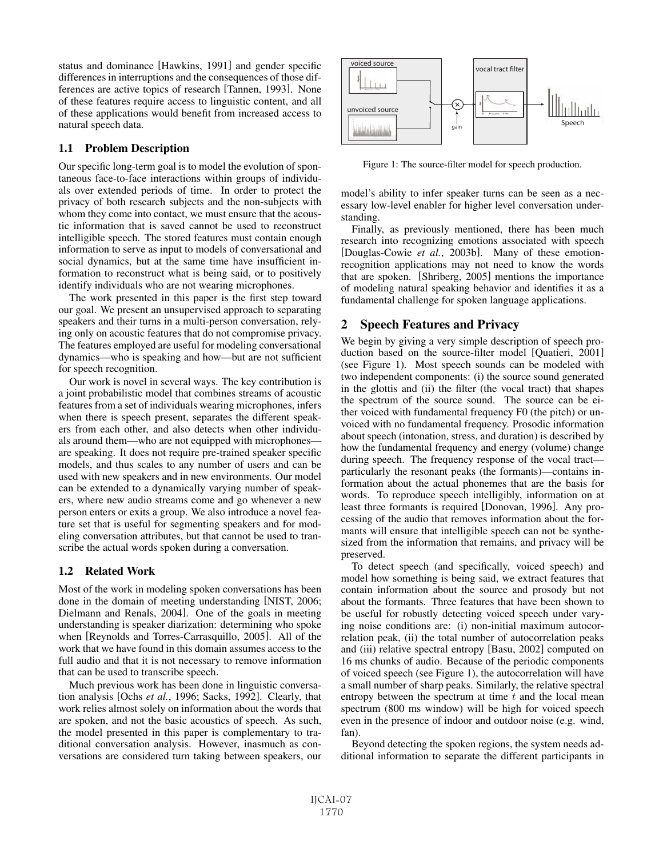status and dominance [Hawkins, 1991] and gender specific differences in interruptions and the consequences of those differences are active topics of research [Tannen, 1993]. None of these features require access to linguistic content, and all of these applications would benefit from increased access to natural speech data.

## 1.1 Problem Description

Our specific long-term goal is to model the evolution of spontaneous face-to-face interactions within groups of individuals over extended periods of time. In order to protect the privacy of both research subjects and the non-subjects with whom they come into contact, we must ensure that the acoustic information that is saved cannot be used to reconstruct intelligible speech. The stored features must contain enough information to serve as input to models of conversational and social dynamics, but at the same time have insufficient information to reconstruct what is being said, or to positively identify individuals who are not wearing microphones.

The work presented in this paper is the first step toward our goal. We present an unsupervised approach to separating speakers and their turns in a multi-person conversation, relying only on acoustic features that do not compromise privacy. The features employed are useful for modeling conversational dynamics—who is speaking and how—but are not sufficient for speech recognition.

Our work is novel in several ways. The key contribution is a joint probabilistic model that combines streams of acoustic features from a set of individuals wearing microphones, infers when there is speech present, separates the different speakers from each other, and also detects when other individuals around them—who are not equipped with microphones are speaking. It does not require pre-trained speaker specific models, and thus scales to any number of users and can be used with new speakers and in new environments. Our model can be extended to a dynamically varying number of speakers, where new audio streams come and go whenever a new person enters or exits a group. We also introduce a novel feature set that is useful for segmenting speakers and for modeling conversation attributes, but that cannot be used to transcribe the actual words spoken during a conversation.

## 1.2 Related Work

Most of the work in modeling spoken conversations has been done in the domain of meeting understanding [NIST, 2006; Dielmann and Renals, 2004]. One of the goals in meeting understanding is speaker diarization: determining who spoke when [Reynolds and Torres-Carrasquillo, 2005]. All of the work that we have found in this domain assumes access to the full audio and that it is not necessary to remove information that can be used to transcribe speech.

Much previous work has been done in linguistic conversation analysis [Ochs *et al.*, 1996; Sacks, 1992]. Clearly, that work relies almost solely on information about the words that are spoken, and not the basic acoustics of speech. As such, the model presented in this paper is complementary to traditional conversation analysis. However, inasmuch as conversations are considered turn taking between speakers, our



Figure 1: The source-filter model for speech production.

model's ability to infer speaker turns can be seen as a necessary low-level enabler for higher level conversation understanding.

Finally, as previously mentioned, there has been much research into recognizing emotions associated with speech [Douglas-Cowie *et al.*, 2003b]. Many of these emotionrecognition applications may not need to know the words that are spoken. [Shriberg, 2005] mentions the importance of modeling natural speaking behavior and identifies it as a fundamental challenge for spoken language applications.

## 2 Speech Features and Privacy

We begin by giving a very simple description of speech production based on the source-filter model [Quatieri, 2001] (see Figure 1). Most speech sounds can be modeled with two independent components: (i) the source sound generated in the glottis and (ii) the filter (the vocal tract) that shapes the spectrum of the source sound. The source can be either voiced with fundamental frequency F0 (the pitch) or unvoiced with no fundamental frequency. Prosodic information about speech (intonation, stress, and duration) is described by how the fundamental frequency and energy (volume) change during speech. The frequency response of the vocal tract particularly the resonant peaks (the formants)—contains information about the actual phonemes that are the basis for words. To reproduce speech intelligibly, information on at least three formants is required [Donovan, 1996]. Any processing of the audio that removes information about the formants will ensure that intelligible speech can not be synthesized from the information that remains, and privacy will be preserved.

To detect speech (and specifically, voiced speech) and model how something is being said, we extract features that contain information about the source and prosody but not about the formants. Three features that have been shown to be useful for robustly detecting voiced speech under varying noise conditions are: (i) non-initial maximum autocorrelation peak, (ii) the total number of autocorrelation peaks and (iii) relative spectral entropy [Basu, 2002] computed on 16 ms chunks of audio. Because of the periodic components of voiced speech (see Figure 1), the autocorrelation will have a small number of sharp peaks. Similarly, the relative spectral entropy between the spectrum at time  $t$  and the local mean spectrum (800 ms window) will be high for voiced speech even in the presence of indoor and outdoor noise (e.g. wind, fan).

Beyond detecting the spoken regions, the system needs additional information to separate the different participants in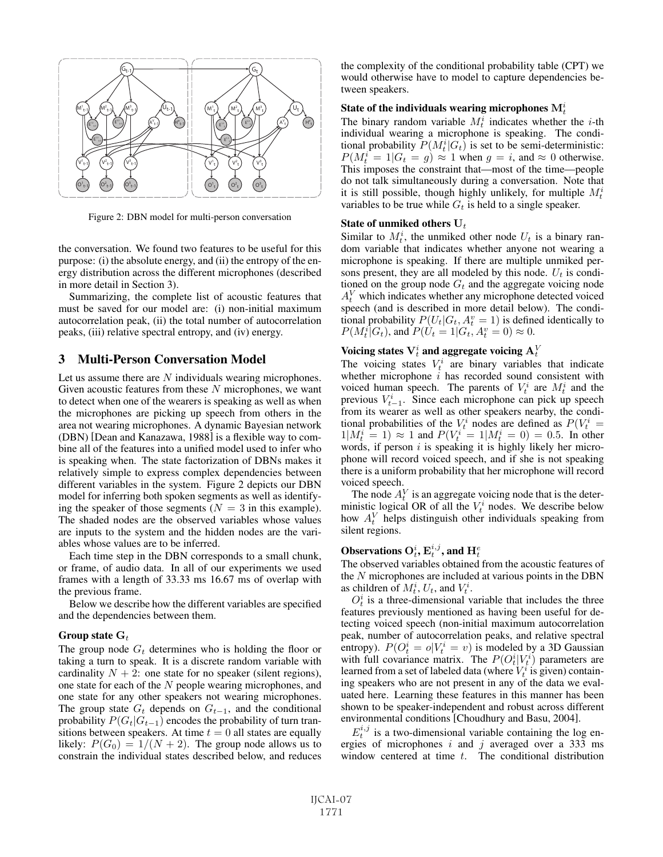

Figure 2: DBN model for multi-person conversation

the conversation. We found two features to be useful for this purpose: (i) the absolute energy, and (ii) the entropy of the energy distribution across the different microphones (described in more detail in Section 3).

Summarizing, the complete list of acoustic features that must be saved for our model are: (i) non-initial maximum autocorrelation peak, (ii) the total number of autocorrelation peaks, (iii) relative spectral entropy, and (iv) energy.

## 3 Multi-Person Conversation Model

Let us assume there are N individuals wearing microphones. Given acoustic features from these  $N$  microphones, we want to detect when one of the wearers is speaking as well as when the microphones are picking up speech from others in the area not wearing microphones. A dynamic Bayesian network (DBN) [Dean and Kanazawa, 1988] is a flexible way to combine all of the features into a unified model used to infer who is speaking when. The state factorization of DBNs makes it relatively simple to express complex dependencies between different variables in the system. Figure 2 depicts our DBN model for inferring both spoken segments as well as identifying the speaker of those segments ( $N = 3$  in this example). The shaded nodes are the observed variables whose values are inputs to the system and the hidden nodes are the variables whose values are to be inferred.

Each time step in the DBN corresponds to a small chunk, or frame, of audio data. In all of our experiments we used frames with a length of 33.33 ms 16.67 ms of overlap with the previous frame.

Below we describe how the different variables are specified and the dependencies between them.

#### Group state  $G_t$

The group node  $G_t$  determines who is holding the floor or taking a turn to speak. It is a discrete random variable with cardinality  $N + 2$ : one state for no speaker (silent regions), one state for each of the N people wearing microphones, and one state for any other speakers not wearing microphones. The group state  $G_t$  depends on  $G_{t-1}$ , and the conditional probability  $P(G_t|G_{t-1})$  encodes the probability of turn transitions between speakers. At time  $t = 0$  all states are equally likely:  $P(G_0) = 1/(N + 2)$ . The group node allows us to constrain the individual states described below, and reduces the complexity of the conditional probability table (CPT) we would otherwise have to model to capture dependencies between speakers.

## State of the individuals wearing microphones  $\mathbf{M}_t^i$

The binary random variable  $M_t^i$  indicates whether the *i*-th individual wearing a microphone is speaking. The condiindividual wearing a microphone is speaking. The conditional probability  $P(M_i^i | G_t)$  is set to be semi-deterministic:<br> $P(M_i^i = 1 | G_t = a) \approx 1$  when  $a = i$  and  $\approx 0$  otherwise.  $P(M_t^i = 1 | G_t = g) \approx 1$  when  $g = i$ , and  $\approx 0$  otherwise.<br>This imposes the constraint that—most of the time—neonle This imposes the constraint that—most of the time—people do not talk simultaneously during a conversation. Note that it is still possible, though highly unlikely, for multiple  $M_t^i$ <br>variables to be true while  $G_t$  is held to a single speaker variables to be true while  $G_t$  is held to a single speaker.

#### State of unmiked others  $U_t$

Similar to  $M_t^i$ , the unmiked other node  $U_t$  is a binary ran-<br>dom variable that indicates whether anyone not wearing a dom variable that indicates whether anyone not wearing a microphone is speaking. If there are multiple unmiked persons present, they are all modeled by this node.  $U_t$  is conditioned on the group node  $G_t$  and the aggregate voicing node  $A_V^V$  which indicates whether any microphone detected voiced<br>speech (and is described in more detail below). The condispeech (and is described in more detail below). The conditional probability  $P(U_t|G_t, A_t^v = 1)$  is defined identically to  $P(M_t^i|G_t)$  and  $P(U_t = 1|G_t | A_t^v = 0) \approx 0$  $P(M_t^i|G_t)$ , and  $P(U_t = 1|G_t, A_t^v = 0) \approx 0$ .

## Voicing states  $\mathbf{V}_t^i$  and aggregate voicing  $\mathbf{A}_t^V$

The voicing states  $V_t^i$  are binary variables that indicate whether microphone *i* has recorded sound consistent with whether microphone  $i$  has recorded sound consistent with voiced human speech. The parents of  $V_t^i$  are  $M_t^i$  and the previous  $V_t^i$ . Since each microphone can pick up speech previous  $V_{t-1}^i$ . Since each microphone can pick up speech from its wearer as well as other speakers nearby the condifrom its wearer as well as other speakers nearby, the conditional probabilities of the  $V_i^i$  nodes are defined as  $P(V_i^i = 1 | M_i^i = 1) \approx 1$  and  $P(V_i^i = 1 | M_i^i = 0) = 0.5$  In other  $1|M_t^i = 1] \approx 1$  and  $P(V_t^i = 1|M_t^i = 0) = 0.5$ . In other words if person *i* is speaking it is highly likely her microwords, if person  $i$  is speaking it is highly likely her microphone will record voiced speech, and if she is not speaking there is a uniform probability that her microphone will record voiced speech.

The node  $A_t^V$  is an aggregate voicing node that is the deter-<br>nistic logical OR of all the  $V_t^i$  nodes. We describe below ministic logical OR of all the  $V_t^i$  nodes. We describe below<br>how  $A_t^V$  helps distinguish other individuals speaking from how  $A_t^V$  helps distinguish other individuals speaking from silent regions silent regions.

# Observations  $\mathbf{O}_t^i, \mathbf{E}_t^{i,j},$  and  $\mathbf{H}_t^e$

The observed variables obtained from the acoustic features of the N microphones are included at various points in the DBN as children of  $M_t^i$ ,  $U_t$ , and  $V_t^i$ .<br>  $O_t^i$  is a three-dimensional v

 $O_t^i$  is a three-dimensional variable that includes the three<br>tures previously mentioned as having been useful for defeatures previously mentioned as having been useful for detecting voiced speech (non-initial maximum autocorrelation peak, number of autocorrelation peaks, and relative spectral entropy).  $P(O_t^i = o | V_t^i = v)$  is modeled by a 3D Gaussian<br>with full covariance matrix. The  $P(O_t^i | V_t^i)$  parameters are with full covariance matrix. The  $P(O_t^i|V_t^i)$  parameters are<br>learned from a set of labeled data (where  $V_t^i$  is given) containlearned from a set of labeled data (where  $V_t^i$  is given) contain-<br>ing speakers who are not present in any of the data we evaling speakers who are not present in any of the data we evaluated here. Learning these features in this manner has been shown to be speaker-independent and robust across different environmental conditions [Choudhury and Basu, 2004].

 $E_t^{i,j}$  is a two-dimensional variable containing the log en-<br>view of microphones i and i averaged over a 333 ms ergies of microphones  $i$  and  $j$  averaged over a 333 ms window centered at time  $t$ . The conditional distribution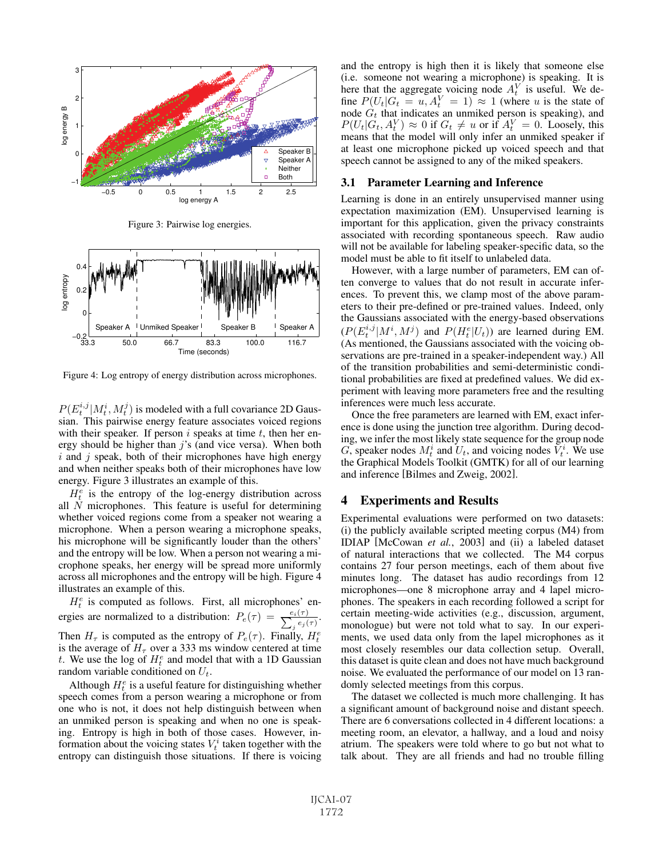

Figure 3: Pairwise log energies.



Figure 4: Log entropy of energy distribution across microphones.

 $P(E_t^{i,j}|M_t^i, M_t^j)$  is modeled with a full covariance 2D Gaus-<br>sian. This pairwise energy feature associates voiced regions sian. This pairwise energy feature associates voiced regions with their speaker. If person  $i$  speaks at time  $t$ , then her energy should be higher than  $j$ 's (and vice versa). When both  $i$  and  $j$  speak, both of their microphones have high energy and when neither speaks both of their microphones have low energy. Figure 3 illustrates an example of this.

 $H_t^e$  is the entropy of the log-energy distribution across  $N$  microphones. This feature is useful for determining all  $N$  microphones. This feature is useful for determining whether voiced regions come from a speaker not wearing a microphone. When a person wearing a microphone speaks, his microphone will be significantly louder than the others' and the entropy will be low. When a person not wearing a microphone speaks, her energy will be spread more uniformly across all microphones and the entropy will be high. Figure 4 illustrates an example of this.

 $H_t^e$  is computed as follows. First, all microphones' energies are normalized to a distribution:  $P_e(\tau) = \frac{e_i(\tau)}{\sum_j e_j(\tau)}$  $\frac{\mu_i(\tau)}{j\,e_j(\tau)}.$ Then  $H_{\tau}$  is computed as the entropy of  $P_e(\tau)$ . Finally,  $H_t^e$ <br>is the average of H<sub>-</sub> over a 333 ms window centered at time is the average of  $H<sub>\tau</sub>$  over a 333 ms window centered at time t. We use the log of  $H_t^e$  and model that with a 1D Gaussian random variable conditioned on  $U_t$ random variable conditioned on  $U_t$ .

Although  $H_t^e$  is a useful feature for distinguishing whether<br>eech comes from a person wearing a microphone or from speech comes from a person wearing a microphone or from one who is not, it does not help distinguish between when an unmiked person is speaking and when no one is speaking. Entropy is high in both of those cases. However, information about the voicing states  $V_t^i$  taken together with the entrony can distinguish those situations. If there is voicing entropy can distinguish those situations. If there is voicing and the entropy is high then it is likely that someone else (i.e. someone not wearing a microphone) is speaking. It is here that the aggregate voicing node  $A_t^V$  is useful. We define  $P(I_L | G_t = u | A^V = 1) \approx 1$  (where u is the state of fine  $P(U_t|G_t = u, A_t^V = 1) \approx 1$  (where u is the state of node  $G_t$  that indicates an unmiked person is speaking) and node  $G_t$  that indicates an unmiked person is speaking), and  $P(I_L|G_t \mid A^V) \approx 0$  if  $G_t \neq u$  or if  $A^V = 0$ . Loosely, this  $P(U_t|G_t, A_t^V) \approx 0$  if  $G_t \neq u$  or if  $A_t^V = 0$ . Loosely, this means that the model will only infer an unmiked speaker if means that the model will only infer an unmiked speaker if at least one microphone picked up voiced speech and that speech cannot be assigned to any of the miked speakers.

#### 3.1 Parameter Learning and Inference

Learning is done in an entirely unsupervised manner using expectation maximization (EM). Unsupervised learning is important for this application, given the privacy constraints associated with recording spontaneous speech. Raw audio will not be available for labeling speaker-specific data, so the model must be able to fit itself to unlabeled data.

However, with a large number of parameters, EM can often converge to values that do not result in accurate inferences. To prevent this, we clamp most of the above parameters to their pre-defined or pre-trained values. Indeed, only the Gaussians associated with the energy-based observations  $(P(E_t^{i,j} | M^i, M^j)$  and  $P(H_t^e | U_t)$ ) are learned during EM.<br>(As mentioned the Gaussians associated with the voicing ob-(As mentioned, the Gaussians associated with the voicing observations are pre-trained in a speaker-independent way.) All of the transition probabilities and semi-deterministic conditional probabilities are fixed at predefined values. We did experiment with leaving more parameters free and the resulting inferences were much less accurate.

Once the free parameters are learned with EM, exact inference is done using the junction tree algorithm. During decoding, we infer the most likely state sequence for the group node G, speaker nodes  $M_t^i$  and  $U_t$ , and voicing nodes  $\overline{V}_t^i$ . We use the Graphical Models Toolkit (GMTK) for all of our learning the Graphical Models Toolkit (GMTK) for all of our learning and inference [Bilmes and Zweig, 2002].

### 4 Experiments and Results

Experimental evaluations were performed on two datasets: (i) the publicly available scripted meeting corpus (M4) from IDIAP [McCowan *et al.*, 2003] and (ii) a labeled dataset of natural interactions that we collected. The M4 corpus contains 27 four person meetings, each of them about five minutes long. The dataset has audio recordings from 12 microphones—one 8 microphone array and 4 lapel microphones. The speakers in each recording followed a script for certain meeting-wide activities (e.g., discussion, argument, monologue) but were not told what to say. In our experiments, we used data only from the lapel microphones as it most closely resembles our data collection setup. Overall, this dataset is quite clean and does not have much background noise. We evaluated the performance of our model on 13 randomly selected meetings from this corpus.

The dataset we collected is much more challenging. It has a significant amount of background noise and distant speech. There are 6 conversations collected in 4 different locations: a meeting room, an elevator, a hallway, and a loud and noisy atrium. The speakers were told where to go but not what to talk about. They are all friends and had no trouble filling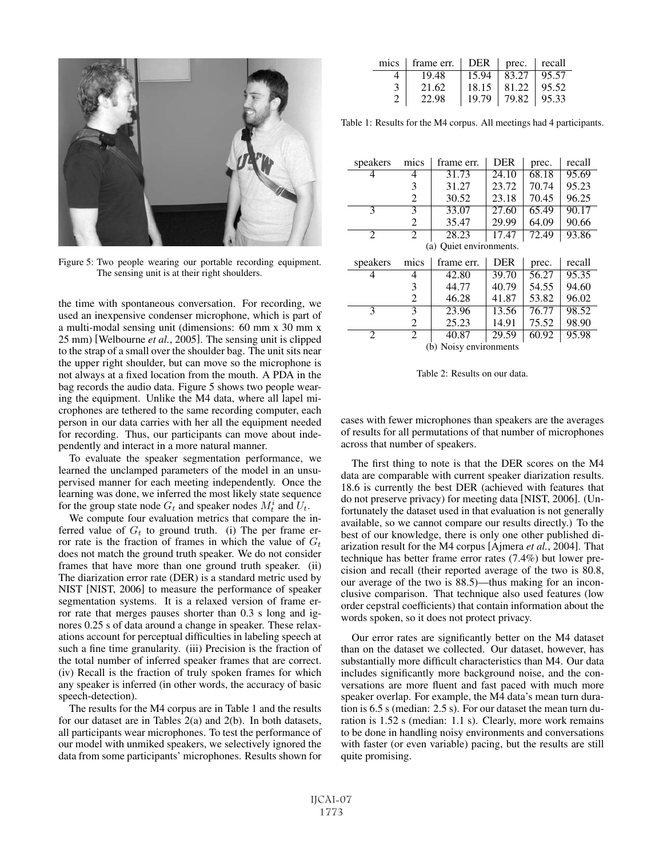

Figure 5: Two people wearing our portable recording equipment. The sensing unit is at their right shoulders.

the time with spontaneous conversation. For recording, we used an inexpensive condenser microphone, which is part of a multi-modal sensing unit (dimensions: 60 mm x 30 mm x 25 mm) [Welbourne *et al.*, 2005]. The sensing unit is clipped to the strap of a small over the shoulder bag. The unit sits near the upper right shoulder, but can move so the microphone is not always at a fixed location from the mouth. A PDA in the bag records the audio data. Figure 5 shows two people wearing the equipment. Unlike the M4 data, where all lapel microphones are tethered to the same recording computer, each person in our data carries with her all the equipment needed for recording. Thus, our participants can move about independently and interact in a more natural manner.

To evaluate the speaker segmentation performance, we learned the unclamped parameters of the model in an unsupervised manner for each meeting independently. Once the learning was done, we inferred the most likely state sequence for the group state node  $G_t$  and speaker nodes  $M_t^i$  and  $U_t$ .<br>We compute four evaluation metrics that compare the

We compute four evaluation metrics that compare the inferred value of  $G_t$  to ground truth. (i) The per frame error rate is the fraction of frames in which the value of  $G_t$ does not match the ground truth speaker. We do not consider frames that have more than one ground truth speaker. (ii) The diarization error rate (DER) is a standard metric used by NIST [NIST, 2006] to measure the performance of speaker segmentation systems. It is a relaxed version of frame error rate that merges pauses shorter than 0.3 s long and ignores 0.25 s of data around a change in speaker. These relaxations account for perceptual difficulties in labeling speech at such a fine time granularity. (iii) Precision is the fraction of the total number of inferred speaker frames that are correct. (iv) Recall is the fraction of truly spoken frames for which any speaker is inferred (in other words, the accuracy of basic speech-detection).

The results for the M4 corpus are in Table 1 and the results for our dataset are in Tables 2(a) and 2(b). In both datasets, all participants wear microphones. To test the performance of our model with unmiked speakers, we selectively ignored the data from some participants' microphones. Results shown for

| mics | frame err. | $DER \mid prec.$ |       | recall |
|------|------------|------------------|-------|--------|
|      | 19.48      | 15.94            | 83.27 | 95.57  |
|      | 21.62      | 18.15            | 81.22 | 95.52  |
|      | 22.98      | 19.79            | 79.82 | 95.33  |

Table 1: Results for the M4 corpus. All meetings had 4 participants.

| speakers                | mics | frame err. | <b>DER</b> | prec. | recall |  |  |
|-------------------------|------|------------|------------|-------|--------|--|--|
| 4                       | 4    | 31.73      | 24.10      | 68.18 | 95.69  |  |  |
|                         | 3    | 31.27      | 23.72      | 70.74 | 95.23  |  |  |
|                         | 2    | 30.52      | 23.18      | 70.45 | 96.25  |  |  |
| 3                       | 3    | 33.07      | 27.60      | 65.49 | 90.17  |  |  |
|                         | 2    | 35.47      | 29.99      | 64.09 | 90.66  |  |  |
| 2                       | 2    | 28.23      | 17.47      | 72.49 | 93.86  |  |  |
| (a) Ouiet environments. |      |            |            |       |        |  |  |
|                         |      |            |            |       |        |  |  |
| speakers                | mics | frame err. | <b>DER</b> | prec. | recall |  |  |
| 4                       | 4    | 42.80      | 39.70      | 56.27 | 95.35  |  |  |
|                         | 3    | 44.77      | 40.79      | 54.55 | 94.60  |  |  |
|                         | 2    | 46.28      | 41.87      | 53.82 | 96.02  |  |  |
| 3                       | 3    | 23.96      | 13.56      | 76.77 | 98.52  |  |  |
|                         | 2    | 25.23      | 14.91      | 75.52 | 98.90  |  |  |
| 2                       | 2    | 40.87      | 29.59      | 60.92 | 95.98  |  |  |

Table 2: Results on our data.

cases with fewer microphones than speakers are the averages of results for all permutations of that number of microphones across that number of speakers.

The first thing to note is that the DER scores on the M4 data are comparable with current speaker diarization results. 18.6 is currently the best DER (achieved with features that do not preserve privacy) for meeting data [NIST, 2006]. (Unfortunately the dataset used in that evaluation is not generally available, so we cannot compare our results directly.) To the best of our knowledge, there is only one other published diarization result for the M4 corpus [Ajmera *et al.*, 2004]. That technique has better frame error rates (7.4%) but lower precision and recall (their reported average of the two is 80.8, our average of the two is 88.5)—thus making for an inconclusive comparison. That technique also used features (low order cepstral coefficients) that contain information about the words spoken, so it does not protect privacy.

Our error rates are significantly better on the M4 dataset than on the dataset we collected. Our dataset, however, has substantially more difficult characteristics than M4. Our data includes significantly more background noise, and the conversations are more fluent and fast paced with much more speaker overlap. For example, the M4 data's mean turn duration is 6.5 s (median: 2.5 s). For our dataset the mean turn duration is 1.52 s (median: 1.1 s). Clearly, more work remains to be done in handling noisy environments and conversations with faster (or even variable) pacing, but the results are still quite promising.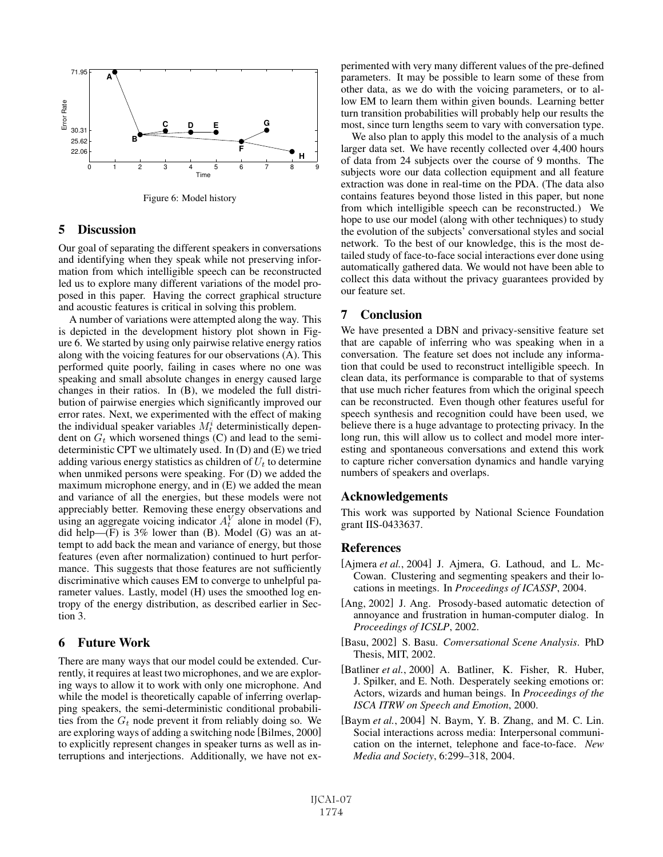

Figure 6: Model history

### 5 Discussion

Our goal of separating the different speakers in conversations and identifying when they speak while not preserving information from which intelligible speech can be reconstructed led us to explore many different variations of the model proposed in this paper. Having the correct graphical structure and acoustic features is critical in solving this problem.

A number of variations were attempted along the way. This is depicted in the development history plot shown in Figure 6. We started by using only pairwise relative energy ratios along with the voicing features for our observations (A). This performed quite poorly, failing in cases where no one was speaking and small absolute changes in energy caused large changes in their ratios. In (B), we modeled the full distribution of pairwise energies which significantly improved our error rates. Next, we experimented with the effect of making the individual speaker variables  $M_t^i$  deterministically dependent on  $G_t$  which worsened things (C) and lead to the semident on  $G_t$  which worsened things (C) and lead to the semideterministic CPT we ultimately used. In (D) and (E) we tried adding various energy statistics as children of  $U_t$  to determine when unmiked persons were speaking. For (D) we added the maximum microphone energy, and in (E) we added the mean and variance of all the energies, but these models were not appreciably better. Removing these energy observations and using an aggregate voicing indicator  $A_t^V$  alone in model (F),<br>did help—(F) is 3% lower than (B) Model (G) was an atdid help— $(F)$  is 3% lower than  $(B)$ . Model  $(G)$  was an attempt to add back the mean and variance of energy, but those features (even after normalization) continued to hurt performance. This suggests that those features are not sufficiently discriminative which causes EM to converge to unhelpful parameter values. Lastly, model (H) uses the smoothed log entropy of the energy distribution, as described earlier in Section 3.

### 6 Future Work

There are many ways that our model could be extended. Currently, it requires at least two microphones, and we are exploring ways to allow it to work with only one microphone. And while the model is theoretically capable of inferring overlapping speakers, the semi-deterministic conditional probabilities from the  $G_t$  node prevent it from reliably doing so. We are exploring ways of adding a switching node [Bilmes, 2000] to explicitly represent changes in speaker turns as well as interruptions and interjections. Additionally, we have not experimented with very many different values of the pre-defined parameters. It may be possible to learn some of these from other data, as we do with the voicing parameters, or to allow EM to learn them within given bounds. Learning better turn transition probabilities will probably help our results the most, since turn lengths seem to vary with conversation type.

We also plan to apply this model to the analysis of a much larger data set. We have recently collected over 4,400 hours of data from 24 subjects over the course of 9 months. The subjects wore our data collection equipment and all feature extraction was done in real-time on the PDA. (The data also contains features beyond those listed in this paper, but none from which intelligible speech can be reconstructed.) We hope to use our model (along with other techniques) to study the evolution of the subjects' conversational styles and social network. To the best of our knowledge, this is the most detailed study of face-to-face social interactions ever done using automatically gathered data. We would not have been able to collect this data without the privacy guarantees provided by our feature set.

## 7 Conclusion

We have presented a DBN and privacy-sensitive feature set that are capable of inferring who was speaking when in a conversation. The feature set does not include any information that could be used to reconstruct intelligible speech. In clean data, its performance is comparable to that of systems that use much richer features from which the original speech can be reconstructed. Even though other features useful for speech synthesis and recognition could have been used, we believe there is a huge advantage to protecting privacy. In the long run, this will allow us to collect and model more interesting and spontaneous conversations and extend this work to capture richer conversation dynamics and handle varying numbers of speakers and overlaps.

### Acknowledgements

This work was supported by National Science Foundation grant IIS-0433637.

#### References

- [Ajmera *et al.*, 2004] J. Ajmera, G. Lathoud, and L. Mc-Cowan. Clustering and segmenting speakers and their locations in meetings. In *Proceedings of ICASSP*, 2004.
- [Ang, 2002] J. Ang. Prosody-based automatic detection of annoyance and frustration in human-computer dialog. In *Proceedings of ICSLP*, 2002.
- [Basu, 2002] S. Basu. *Conversational Scene Analysis*. PhD Thesis, MIT, 2002.
- [Batliner *et al.*, 2000] A. Batliner, K. Fisher, R. Huber, J. Spilker, and E. Noth. Desperately seeking emotions or: Actors, wizards and human beings. In *Proceedings of the ISCA ITRW on Speech and Emotion*, 2000.
- [Baym *et al.*, 2004] N. Baym, Y. B. Zhang, and M. C. Lin. Social interactions across media: Interpersonal communication on the internet, telephone and face-to-face. *New Media and Society*, 6:299–318, 2004.